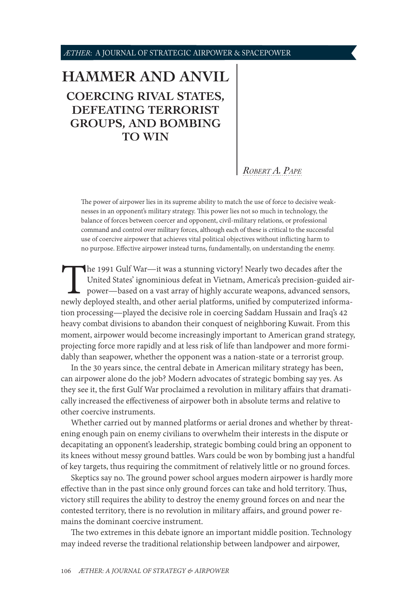#### <span id="page-0-0"></span>*ÆTHER*: A JOURNAL OF STRATEGIC AIRPOWER & SPACEPOWER

# **[HAMMER AND ANVIL](#page-1-0) [COERCING RIVAL STATES,](#page-1-0)  [DEFEATING TERRORIST](#page-1-0)  [GROUPS, AND BOMBING](#page-1-0)  [TO WIN](#page-1-0)**

*[Robert A. Pape](#page-11-0)*

The power of airpower lies in its supreme ability to match the use of force to decisive weaknesses in an opponent's military strategy. This power lies not so much in technology, the balance of forces between coercer and opponent, civil-military relations, or professional command and control over military forces, although each of these is critical to the successful use of coercive airpower that achieves vital political objectives without inflicting harm to no purpose. Effective airpower instead turns, fundamentally, on understanding the enemy.

The 1991 Gulf War—it was a stunning victory! Nearly two decades after the United States' ignominious defeat in Vietnam, America's precision-guided a power—based on a vast array of highly accurate weapons, advanced sensor n United States' ignominious defeat in Vietnam, America's precision-guided airpower—based on a vast array of highly accurate weapons, advanced sensors, newly deployed stealth, and other aerial platforms, unified by computerized information processing—played the decisive role in coercing Saddam Hussain and Iraq's 42 heavy combat divisions to abandon their conquest of neighboring Kuwait. From this moment, airpower would become increasingly important to American grand strategy, projecting force more rapidly and at less risk of life than landpower and more formidably than seapower, whether the opponent was a nation-state or a terrorist group.

In the 30 years since, the central debate in American military strategy has been, can airpower alone do the job? Modern advocates of strategic bombing say yes. As they see it, the first Gulf War proclaimed a revolution in military affairs that dramatically increased the effectiveness of airpower both in absolute terms and relative to other coercive instruments.

Whether carried out by manned platforms or aerial drones and whether by threatening enough pain on enemy civilians to overwhelm their interests in the dispute or decapitating an opponent's leadership, strategic bombing could bring an opponent to its knees without messy ground battles. Wars could be won by bombing just a handful of key targets, thus requiring the commitment of relatively little or no ground forces.

Skeptics say no. The ground power school argues modern airpower is hardly more effective than in the past since only ground forces can take and hold territory. Thus, victory still requires the ability to destroy the enemy ground forces on and near the contested territory, there is no revolution in military affairs, and ground power remains the dominant coercive instrument.

The two extremes in this debate ignore an important middle position. Technology may indeed reverse the traditional relationship between landpower and airpower,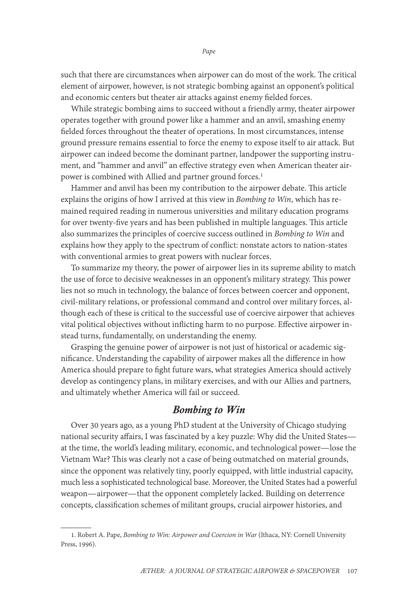<span id="page-1-0"></span>such that there are circumstances when airpower can do most of the work. The critical element of airpower, however, is not strategic bombing against an opponent's political and economic centers but theater air attacks against enemy fielded forces.

While strategic bombing aims to succeed without a friendly army, theater airpower operates together with ground power like a hammer and an anvil, smashing enemy fielded forces throughout the theater of operations. In most circumstances, intense ground pressure remains essential to force the enemy to expose itself to air attack. But airpower can indeed become the dominant partner, landpower the supporting instrument, and "hammer and anvil" an effective strategy even when American theater airpower is combined with Allied and partner ground forces.<sup>1</sup>

Hammer and anvil has been my contribution to the airpower debate. This article explains the origins of how I arrived at this view in *Bombing to Win*, which has remained required reading in numerous universities and military education programs for over twenty-five years and has been published in multiple languages. This article also summarizes the principles of coercive success outlined in *Bombing to Win* and explains how they apply to the spectrum of conflict: nonstate actors to nation-states with conventional armies to great powers with nuclear forces.

To summarize my theory, the power of airpower lies in its supreme ability to match the use of force to decisive weaknesses in an opponent's military strategy. This power lies not so much in technology, the balance of forces between coercer and opponent, civil-military relations, or professional command and control over military forces, although each of these is critical to the successful use of coercive airpower that achieves vital political objectives without inflicting harm to no purpose. Effective airpower instead turns, fundamentally, on understanding the enemy.

Grasping the genuine power of airpower is not just of historical or academic significance. Understanding the capability of airpower makes all the difference in how America should prepare to fight future wars, what strategies America should actively develop as contingency plans, in military exercises, and with our Allies and partners, and ultimately whether America will fail or succeed.

## *Bombing to Win*

Over 30 years ago, as a young PhD student at the University of Chicago studying national security affairs, I was fascinated by a key puzzle: Why did the United States at the time, the world's leading military, economic, and technological power—lose the Vietnam War? This was clearly not a case of being outmatched on material grounds, since the opponent was relatively tiny, poorly equipped, with little industrial capacity, much less a sophisticated technological base. Moreover, the United States had a powerful weapon—airpower—that the opponent completely lacked. Building on deterrence concepts, classification schemes of militant groups, crucial airpower histories, and

<sup>1.</sup> Robert A. Pape, *Bombing to Win: Airpower and Coercion in War* (Ithaca, NY: Cornell University Press, 1996).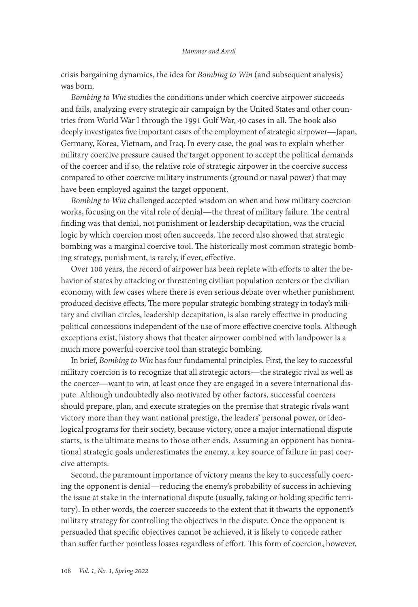#### *Hammer and Anvil*

crisis bargaining dynamics, the idea for *Bombing to Win* (and subsequent analysis) was born.

*Bombing to Win* studies the conditions under which coercive airpower succeeds and fails, analyzing every strategic air campaign by the United States and other countries from World War I through the 1991 Gulf War, 40 cases in all. The book also deeply investigates five important cases of the employment of strategic airpower—Japan, Germany, Korea, Vietnam, and Iraq. In every case, the goal was to explain whether military coercive pressure caused the target opponent to accept the political demands of the coercer and if so, the relative role of strategic airpower in the coercive success compared to other coercive military instruments (ground or naval power) that may have been employed against the target opponent.

*Bombing to Win* challenged accepted wisdom on when and how military coercion works, focusing on the vital role of denial—the threat of military failure. The central finding was that denial, not punishment or leadership decapitation, was the crucial logic by which coercion most often succeeds. The record also showed that strategic bombing was a marginal coercive tool. The historically most common strategic bombing strategy, punishment, is rarely, if ever, effective.

Over 100 years, the record of airpower has been replete with efforts to alter the behavior of states by attacking or threatening civilian population centers or the civilian economy, with few cases where there is even serious debate over whether punishment produced decisive effects. The more popular strategic bombing strategy in today's military and civilian circles, leadership decapitation, is also rarely effective in producing political concessions independent of the use of more effective coercive tools. Although exceptions exist, history shows that theater airpower combined with landpower is a much more powerful coercive tool than strategic bombing.

In brief, *Bombing to Win* has four fundamental principles. First, the key to successful military coercion is to recognize that all strategic actors—the strategic rival as well as the coercer—want to win, at least once they are engaged in a severe international dispute. Although undoubtedly also motivated by other factors, successful coercers should prepare, plan, and execute strategies on the premise that strategic rivals want victory more than they want national prestige, the leaders' personal power, or ideological programs for their society, because victory, once a major international dispute starts, is the ultimate means to those other ends. Assuming an opponent has nonrational strategic goals underestimates the enemy, a key source of failure in past coercive attempts.

Second, the paramount importance of victory means the key to successfully coercing the opponent is denial—reducing the enemy's probability of success in achieving the issue at stake in the international dispute (usually, taking or holding specific territory). In other words, the coercer succeeds to the extent that it thwarts the opponent's military strategy for controlling the objectives in the dispute. Once the opponent is persuaded that specific objectives cannot be achieved, it is likely to concede rather than suffer further pointless losses regardless of effort. This form of coercion, however,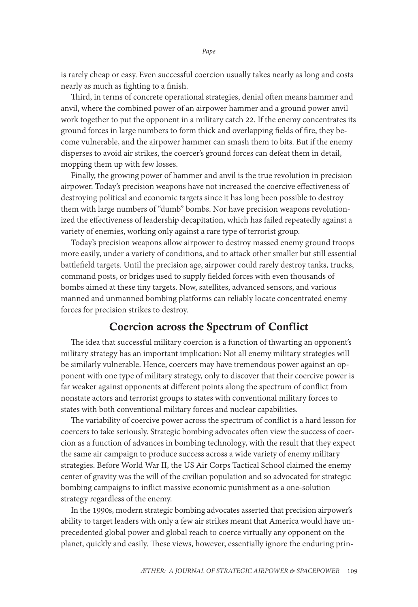is rarely cheap or easy. Even successful coercion usually takes nearly as long and costs nearly as much as fighting to a finish.

Third, in terms of concrete operational strategies, denial often means hammer and anvil, where the combined power of an airpower hammer and a ground power anvil work together to put the opponent in a military catch 22. If the enemy concentrates its ground forces in large numbers to form thick and overlapping fields of fire, they become vulnerable, and the airpower hammer can smash them to bits. But if the enemy disperses to avoid air strikes, the coercer's ground forces can defeat them in detail, mopping them up with few losses.

Finally, the growing power of hammer and anvil is the true revolution in precision airpower. Today's precision weapons have not increased the coercive effectiveness of destroying political and economic targets since it has long been possible to destroy them with large numbers of "dumb" bombs. Nor have precision weapons revolutionized the effectiveness of leadership decapitation, which has failed repeatedly against a variety of enemies, working only against a rare type of terrorist group.

Today's precision weapons allow airpower to destroy massed enemy ground troops more easily, under a variety of conditions, and to attack other smaller but still essential battlefield targets. Until the precision age, airpower could rarely destroy tanks, trucks, command posts, or bridges used to supply fielded forces with even thousands of bombs aimed at these tiny targets. Now, satellites, advanced sensors, and various manned and unmanned bombing platforms can reliably locate concentrated enemy forces for precision strikes to destroy.

#### Coercion across the Spectrum of Conflict

The idea that successful military coercion is a function of thwarting an opponent's military strategy has an important implication: Not all enemy military strategies will be similarly vulnerable. Hence, coercers may have tremendous power against an opponent with one type of military strategy, only to discover that their coercive power is far weaker against opponents at different points along the spectrum of conflict from nonstate actors and terrorist groups to states with conventional military forces to states with both conventional military forces and nuclear capabilities.

The variability of coercive power across the spectrum of conflict is a hard lesson for coercers to take seriously. Strategic bombing advocates often view the success of coercion as a function of advances in bombing technology, with the result that they expect the same air campaign to produce success across a wide variety of enemy military strategies. Before World War II, the US Air Corps Tactical School claimed the enemy center of gravity was the will of the civilian population and so advocated for strategic bombing campaigns to inflict massive economic punishment as a one-solution strategy regardless of the enemy.

In the 1990s, modern strategic bombing advocates asserted that precision airpower's ability to target leaders with only a few air strikes meant that America would have unprecedented global power and global reach to coerce virtually any opponent on the planet, quickly and easily. These views, however, essentially ignore the enduring prin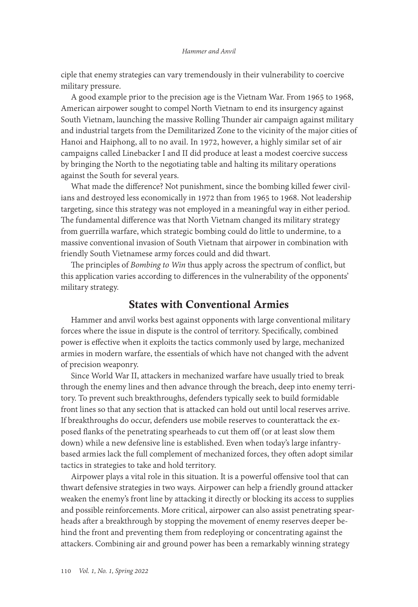ciple that enemy strategies can vary tremendously in their vulnerability to coercive military pressure.

A good example prior to the precision age is the Vietnam War. From 1965 to 1968, American airpower sought to compel North Vietnam to end its insurgency against South Vietnam, launching the massive Rolling Thunder air campaign against military and industrial targets from the Demilitarized Zone to the vicinity of the major cities of Hanoi and Haiphong, all to no avail. In 1972, however, a highly similar set of air campaigns called Linebacker I and II did produce at least a modest coercive success by bringing the North to the negotiating table and halting its military operations against the South for several years.

What made the difference? Not punishment, since the bombing killed fewer civilians and destroyed less economically in 1972 than from 1965 to 1968. Not leadership targeting, since this strategy was not employed in a meaningful way in either period. The fundamental difference was that North Vietnam changed its military strategy from guerrilla warfare, which strategic bombing could do little to undermine, to a massive conventional invasion of South Vietnam that airpower in combination with friendly South Vietnamese army forces could and did thwart.

The principles of *Bombing to Win* thus apply across the spectrum of conflict, but this application varies according to differences in the vulnerability of the opponents' military strategy.

## States with Conventional Armies

Hammer and anvil works best against opponents with large conventional military forces where the issue in dispute is the control of territory. Specifically, combined power is effective when it exploits the tactics commonly used by large, mechanized armies in modern warfare, the essentials of which have not changed with the advent of precision weaponry.

Since World War II, attackers in mechanized warfare have usually tried to break through the enemy lines and then advance through the breach, deep into enemy territory. To prevent such breakthroughs, defenders typically seek to build formidable front lines so that any section that is attacked can hold out until local reserves arrive. If breakthroughs do occur, defenders use mobile reserves to counterattack the exposed flanks of the penetrating spearheads to cut them off (or at least slow them down) while a new defensive line is established. Even when today's large infantrybased armies lack the full complement of mechanized forces, they often adopt similar tactics in strategies to take and hold territory.

Airpower plays a vital role in this situation. It is a powerful offensive tool that can thwart defensive strategies in two ways. Airpower can help a friendly ground attacker weaken the enemy's front line by attacking it directly or blocking its access to supplies and possible reinforcements. More critical, airpower can also assist penetrating spearheads after a breakthrough by stopping the movement of enemy reserves deeper behind the front and preventing them from redeploying or concentrating against the attackers. Combining air and ground power has been a remarkably winning strategy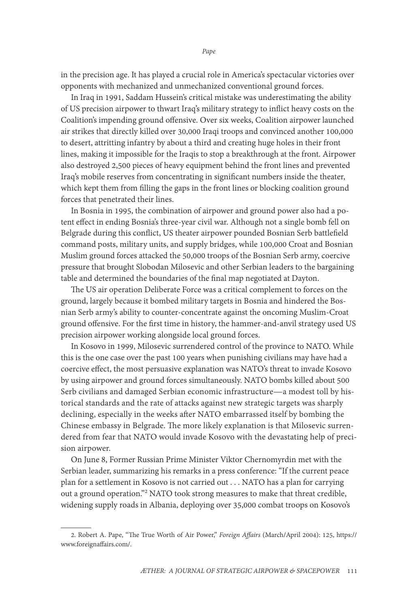in the precision age. It has played a crucial role in America's spectacular victories over opponents with mechanized and unmechanized conventional ground forces.

In Iraq in 1991, Saddam Hussein's critical mistake was underestimating the ability of US precision airpower to thwart Iraq's military strategy to inflict heavy costs on the Coalition's impending ground offensive. Over six weeks, Coalition airpower launched air strikes that directly killed over 30,000 Iraqi troops and convinced another 100,000 to desert, attritting infantry by about a third and creating huge holes in their front lines, making it impossible for the Iraqis to stop a breakthrough at the front. Airpower also destroyed 2,500 pieces of heavy equipment behind the front lines and prevented Iraq's mobile reserves from concentrating in significant numbers inside the theater, which kept them from filling the gaps in the front lines or blocking coalition ground forces that penetrated their lines.

In Bosnia in 1995, the combination of airpower and ground power also had a potent effect in ending Bosnia's three-year civil war. Although not a single bomb fell on Belgrade during this conflict, US theater airpower pounded Bosnian Serb battlefield command posts, military units, and supply bridges, while 100,000 Croat and Bosnian Muslim ground forces attacked the 50,000 troops of the Bosnian Serb army, coercive pressure that brought Slobodan Milosevic and other Serbian leaders to the bargaining table and determined the boundaries of the final map negotiated at Dayton.

The US air operation Deliberate Force was a critical complement to forces on the ground, largely because it bombed military targets in Bosnia and hindered the Bosnian Serb army's ability to counter-concentrate against the oncoming Muslim-Croat ground offensive. For the first time in history, the hammer-and-anvil strategy used US precision airpower working alongside local ground forces.

In Kosovo in 1999, Milosevic surrendered control of the province to NATO. While this is the one case over the past 100 years when punishing civilians may have had a coercive effect, the most persuasive explanation was NATO's threat to invade Kosovo by using airpower and ground forces simultaneously. NATO bombs killed about 500 Serb civilians and damaged Serbian economic infrastructure—a modest toll by historical standards and the rate of attacks against new strategic targets was sharply declining, especially in the weeks after NATO embarrassed itself by bombing the Chinese embassy in Belgrade. The more likely explanation is that Milosevic surrendered from fear that NATO would invade Kosovo with the devastating help of precision airpower.

On June 8, Former Russian Prime Minister Viktor Chernomyrdin met with the Serbian leader, summarizing his remarks in a press conference: "If the current peace plan for a settlement in Kosovo is not carried out . . . NATO has a plan for carrying out a ground operation."2 NATO took strong measures to make that threat credible, widening supply roads in Albania, deploying over 35,000 combat troops on Kosovo's

<sup>2.</sup> Robert A. Pape, "The True Worth of Air Power," *Foreign Affairs* (March/April 2004): 125, [https://](https://www.foreignaffairs.com/articles/2004-03-01/true-worth-air-power) [www.foreignaffairs.com/](https://www.foreignaffairs.com/articles/2004-03-01/true-worth-air-power).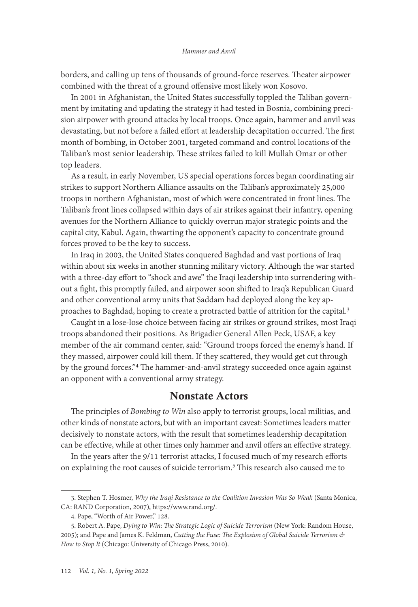#### *Hammer and Anvil*

borders, and calling up tens of thousands of ground-force reserves. Theater airpower combined with the threat of a ground offensive most likely won Kosovo.

In 2001 in Afghanistan, the United States successfully toppled the Taliban government by imitating and updating the strategy it had tested in Bosnia, combining precision airpower with ground attacks by local troops. Once again, hammer and anvil was devastating, but not before a failed effort at leadership decapitation occurred. The first month of bombing, in October 2001, targeted command and control locations of the Taliban's most senior leadership. These strikes failed to kill Mullah Omar or other top leaders.

As a result, in early November, US special operations forces began coordinating air strikes to support Northern Alliance assaults on the Taliban's approximately 25,000 troops in northern Afghanistan, most of which were concentrated in front lines. The Taliban's front lines collapsed within days of air strikes against their infantry, opening avenues for the Northern Alliance to quickly overrun major strategic points and the capital city, Kabul. Again, thwarting the opponent's capacity to concentrate ground forces proved to be the key to success.

In Iraq in 2003, the United States conquered Baghdad and vast portions of Iraq within about six weeks in another stunning military victory. Although the war started with a three-day effort to "shock and awe" the Iraqi leadership into surrendering without a fight, this promptly failed, and airpower soon shifted to Iraq's Republican Guard and other conventional army units that Saddam had deployed along the key approaches to Baghdad, hoping to create a protracted battle of attrition for the capital.<sup>3</sup>

Caught in a lose-lose choice between facing air strikes or ground strikes, most Iraqi troops abandoned their positions. As Brigadier General Allen Peck, USAF, a key member of the air command center, said: "Ground troops forced the enemy's hand. If they massed, airpower could kill them. If they scattered, they would get cut through by the ground forces."4 The hammer-and-anvil strategy succeeded once again against an opponent with a conventional army strategy.

## Nonstate Actors

The principles of *Bombing to Win* also apply to terrorist groups, local militias, and other kinds of nonstate actors, but with an important caveat: Sometimes leaders matter decisively to nonstate actors, with the result that sometimes leadership decapitation can be effective, while at other times only hammer and anvil offers an effective strategy.

In the years after the 9/11 terrorist attacks, I focused much of my research efforts on explaining the root causes of suicide terrorism.5 This research also caused me to

<sup>3.</sup> Stephen T. Hosmer, *Why the Iraqi Resistance to the Coalition Invasion Was So Weak* (Santa Monica, CA: RAND Corporation, 2007), [https://www.rand.org/](https://www.rand.org/pubs/monographs/MG544.html).

<sup>4.</sup> Pape, "Worth of Air Power," 128.

<sup>5.</sup> Robert A. Pape, *Dying to Win: The Strategic Logic of Suicide Terrorism* (New York: Random House, 2005); and Pape and James K. Feldman, *Cutting the Fuse: The Explosion of Global Suicide Terrorism & How to Stop It* (Chicago: University of Chicago Press, 2010).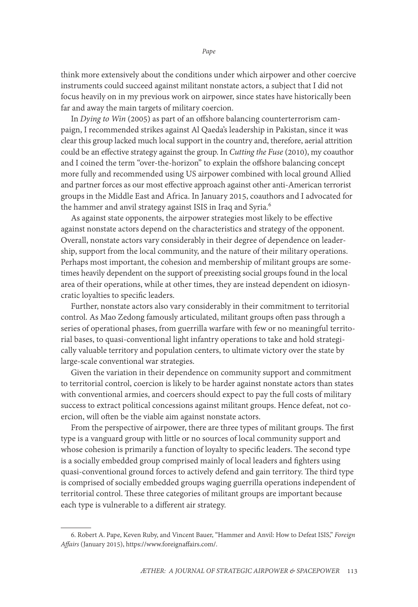think more extensively about the conditions under which airpower and other coercive instruments could succeed against militant nonstate actors, a subject that I did not focus heavily on in my previous work on airpower, since states have historically been far and away the main targets of military coercion.

In *Dying to Win* (2005) as part of an offshore balancing counterterrorism campaign, I recommended strikes against Al Qaeda's leadership in Pakistan, since it was clear this group lacked much local support in the country and, therefore, aerial attrition could be an effective strategy against the group. In *Cutting the Fuse* (2010), my coauthor and I coined the term "over-the-horizon" to explain the offshore balancing concept more fully and recommended using US airpower combined with local ground Allied and partner forces as our most effective approach against other anti-American terrorist groups in the Middle East and Africa. In January 2015, coauthors and I advocated for the hammer and anvil strategy against ISIS in Iraq and Syria.<sup>6</sup>

As against state opponents, the airpower strategies most likely to be effective against nonstate actors depend on the characteristics and strategy of the opponent. Overall, nonstate actors vary considerably in their degree of dependence on leadership, support from the local community, and the nature of their military operations. Perhaps most important, the cohesion and membership of militant groups are sometimes heavily dependent on the support of preexisting social groups found in the local area of their operations, while at other times, they are instead dependent on idiosyncratic loyalties to specific leaders.

Further, nonstate actors also vary considerably in their commitment to territorial control. As Mao Zedong famously articulated, militant groups often pass through a series of operational phases, from guerrilla warfare with few or no meaningful territorial bases, to quasi-conventional light infantry operations to take and hold strategically valuable territory and population centers, to ultimate victory over the state by large-scale conventional war strategies.

Given the variation in their dependence on community support and commitment to territorial control, coercion is likely to be harder against nonstate actors than states with conventional armies, and coercers should expect to pay the full costs of military success to extract political concessions against militant groups. Hence defeat, not coercion, will often be the viable aim against nonstate actors.

From the perspective of airpower, there are three types of militant groups. The first type is a vanguard group with little or no sources of local community support and whose cohesion is primarily a function of loyalty to specific leaders. The second type is a socially embedded group comprised mainly of local leaders and fighters using quasi-conventional ground forces to actively defend and gain territory. The third type is comprised of socially embedded groups waging guerrilla operations independent of territorial control. These three categories of militant groups are important because each type is vulnerable to a different air strategy.

<sup>6.</sup> Robert A. Pape, Keven Ruby, and Vincent Bauer, "Hammer and Anvil: How to Defeat ISIS," *Foreign Affairs* (January 2015), [https://www.foreignaffairs.com/.](https://www.foreignaffairs.com/articles/iraq/2015-01-02/hammer-and-anvil.)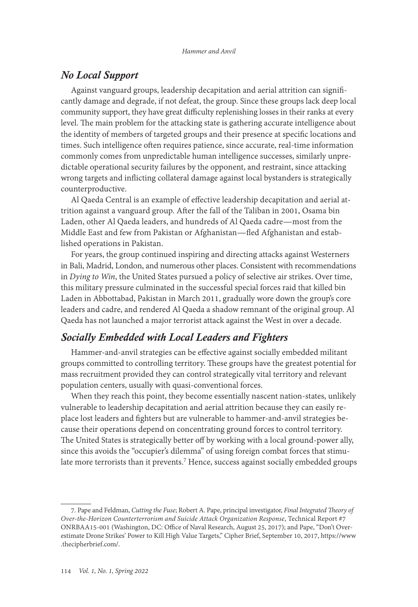## *No Local Support*

Against vanguard groups, leadership decapitation and aerial attrition can significantly damage and degrade, if not defeat, the group. Since these groups lack deep local community support, they have great difficulty replenishing losses in their ranks at every level. The main problem for the attacking state is gathering accurate intelligence about the identity of members of targeted groups and their presence at specific locations and times. Such intelligence often requires patience, since accurate, real-time information commonly comes from unpredictable human intelligence successes, similarly unpredictable operational security failures by the opponent, and restraint, since attacking wrong targets and inflicting collateral damage against local bystanders is strategically counterproductive.

Al Qaeda Central is an example of effective leadership decapitation and aerial attrition against a vanguard group. After the fall of the Taliban in 2001, Osama bin Laden, other Al Qaeda leaders, and hundreds of Al Qaeda cadre—most from the Middle East and few from Pakistan or Afghanistan—fled Afghanistan and established operations in Pakistan.

For years, the group continued inspiring and directing attacks against Westerners in Bali, Madrid, London, and numerous other places. Consistent with recommendations in *Dying to Win*, the United States pursued a policy of selective air strikes. Over time, this military pressure culminated in the successful special forces raid that killed bin Laden in Abbottabad, Pakistan in March 2011, gradually wore down the group's core leaders and cadre, and rendered Al Qaeda a shadow remnant of the original group. Al Qaeda has not launched a major terrorist attack against the West in over a decade.

#### *Socially Embedded with Local Leaders and Fighters*

Hammer-and-anvil strategies can be effective against socially embedded militant groups committed to controlling territory. These groups have the greatest potential for mass recruitment provided they can control strategically vital territory and relevant population centers, usually with quasi-conventional forces.

When they reach this point, they become essentially nascent nation-states, unlikely vulnerable to leadership decapitation and aerial attrition because they can easily replace lost leaders and fighters but are vulnerable to hammer-and-anvil strategies because their operations depend on concentrating ground forces to control territory. The United States is strategically better off by working with a local ground-power ally, since this avoids the "occupier's dilemma" of using foreign combat forces that stimulate more terrorists than it prevents.<sup>7</sup> Hence, success against socially embedded groups

<sup>7.</sup> Pape and Feldman, *Cutting the Fuse*; Robert A. Pape, principal investigator, *Final Integrated Theory of Over-the-Horizon Counterterrorism and Suicide Attack Organization Response*, Technical Report #7 ONRBAA15-001 (Washington, DC: Office of Naval Research, August 25, 2017); and Pape, "Don't Overestimate Drone Strikes' Power to Kill High Value Targets," Cipher Brief, September 10, 2017, [https://www](https://www.thecipherbrief.com/dont-overestimate-drone%C2%ADstrikes%C2%ADpower%C2%ADkill-high-value-targets) [.thecipherbrief.com/](https://www.thecipherbrief.com/dont-overestimate-drone%C2%ADstrikes%C2%ADpower%C2%ADkill-high-value-targets).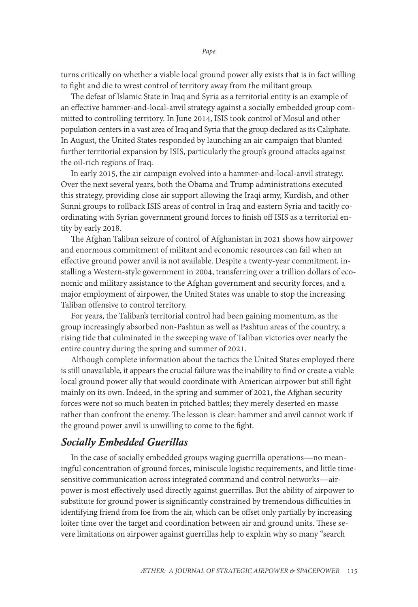turns critically on whether a viable local ground power ally exists that is in fact willing to fight and die to wrest control of territory away from the militant group.

The defeat of Islamic State in Iraq and Syria as a territorial entity is an example of an effective hammer-and-local-anvil strategy against a socially embedded group committed to controlling territory. In June 2014, ISIS took control of Mosul and other population centers in a vast area of Iraq and Syria that the group declared as its Caliphate. In August, the United States responded by launching an air campaign that blunted further territorial expansion by ISIS, particularly the group's ground attacks against the oil-rich regions of Iraq.

In early 2015, the air campaign evolved into a hammer-and-local-anvil strategy. Over the next several years, both the Obama and Trump administrations executed this strategy, providing close air support allowing the Iraqi army, Kurdish, and other Sunni groups to rollback ISIS areas of control in Iraq and eastern Syria and tacitly coordinating with Syrian government ground forces to finish off ISIS as a territorial entity by early 2018.

The Afghan Taliban seizure of control of Afghanistan in 2021 shows how airpower and enormous commitment of militant and economic resources can fail when an effective ground power anvil is not available. Despite a twenty-year commitment, installing a Western-style government in 2004, transferring over a trillion dollars of economic and military assistance to the Afghan government and security forces, and a major employment of airpower, the United States was unable to stop the increasing Taliban offensive to control territory.

For years, the Taliban's territorial control had been gaining momentum, as the group increasingly absorbed non-Pashtun as well as Pashtun areas of the country, a rising tide that culminated in the sweeping wave of Taliban victories over nearly the entire country during the spring and summer of 2021.

Although complete information about the tactics the United States employed there is still unavailable, it appears the crucial failure was the inability to find or create a viable local ground power ally that would coordinate with American airpower but still fight mainly on its own. Indeed, in the spring and summer of 2021, the Afghan security forces were not so much beaten in pitched battles; they merely deserted en masse rather than confront the enemy. The lesson is clear: hammer and anvil cannot work if the ground power anvil is unwilling to come to the fight.

#### *Socially Embedded Guerillas*

In the case of socially embedded groups waging guerrilla operations—no meaningful concentration of ground forces, miniscule logistic requirements, and little timesensitive communication across integrated command and control networks—airpower is most effectively used directly against guerrillas. But the ability of airpower to substitute for ground power is significantly constrained by tremendous difficulties in identifying friend from foe from the air, which can be offset only partially by increasing loiter time over the target and coordination between air and ground units. These severe limitations on airpower against guerrillas help to explain why so many "search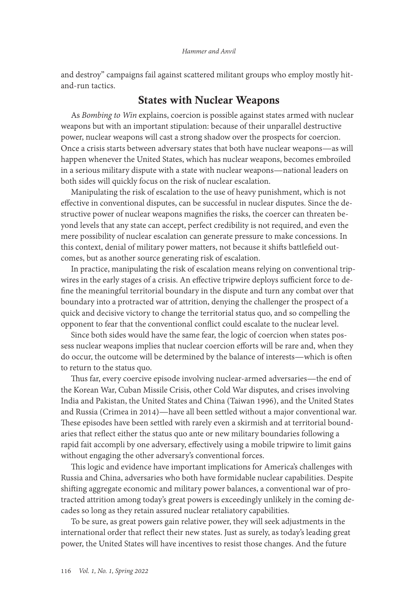and destroy" campaigns fail against scattered militant groups who employ mostly hitand-run tactics.

## States with Nuclear Weapons

As *Bombing to Win* explains, coercion is possible against states armed with nuclear weapons but with an important stipulation: because of their unparallel destructive power, nuclear weapons will cast a strong shadow over the prospects for coercion. Once a crisis starts between adversary states that both have nuclear weapons—as will happen whenever the United States, which has nuclear weapons, becomes embroiled in a serious military dispute with a state with nuclear weapons—national leaders on both sides will quickly focus on the risk of nuclear escalation.

Manipulating the risk of escalation to the use of heavy punishment, which is not effective in conventional disputes, can be successful in nuclear disputes. Since the destructive power of nuclear weapons magnifies the risks, the coercer can threaten beyond levels that any state can accept, perfect credibility is not required, and even the mere possibility of nuclear escalation can generate pressure to make concessions. In this context, denial of military power matters, not because it shifts battlefield outcomes, but as another source generating risk of escalation.

In practice, manipulating the risk of escalation means relying on conventional tripwires in the early stages of a crisis. An effective tripwire deploys sufficient force to define the meaningful territorial boundary in the dispute and turn any combat over that boundary into a protracted war of attrition, denying the challenger the prospect of a quick and decisive victory to change the territorial status quo, and so compelling the opponent to fear that the conventional conflict could escalate to the nuclear level.

Since both sides would have the same fear, the logic of coercion when states possess nuclear weapons implies that nuclear coercion efforts will be rare and, when they do occur, the outcome will be determined by the balance of interests—which is often to return to the status quo.

Thus far, every coercive episode involving nuclear-armed adversaries—the end of the Korean War, Cuban Missile Crisis, other Cold War disputes, and crises involving India and Pakistan, the United States and China (Taiwan 1996), and the United States and Russia (Crimea in 2014)—have all been settled without a major conventional war. These episodes have been settled with rarely even a skirmish and at territorial boundaries that reflect either the status quo ante or new military boundaries following a rapid fait accompli by one adversary, effectively using a mobile tripwire to limit gains without engaging the other adversary's conventional forces.

This logic and evidence have important implications for America's challenges with Russia and China, adversaries who both have formidable nuclear capabilities. Despite shifting aggregate economic and military power balances, a conventional war of protracted attrition among today's great powers is exceedingly unlikely in the coming decades so long as they retain assured nuclear retaliatory capabilities.

To be sure, as great powers gain relative power, they will seek adjustments in the international order that reflect their new states. Just as surely, as today's leading great power, the United States will have incentives to resist those changes. And the future